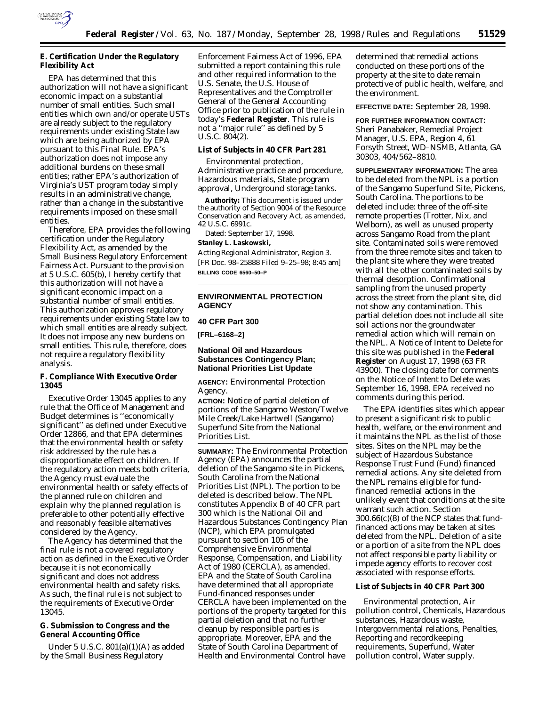

# **E. Certification Under the Regulatory Flexibility Act**

EPA has determined that this authorization will not have a significant economic impact on a substantial number of small entities. Such small entities which own and/or operate USTs are already subject to the regulatory requirements under existing State law which are being authorized by EPA pursuant to this Final Rule. EPA's authorization does not impose any additional burdens on these small entities; rather EPA's authorization of Virginia's UST program today simply results in an administrative change, rather than a change in the substantive requirements imposed on these small entities.

Therefore, EPA provides the following certification under the Regulatory Flexibility Act, as amended by the Small Business Regulatory Enforcement Fairness Act. Pursuant to the provision at 5 U.S.C. 605(b), I hereby certify that this authorization will not have a significant economic impact on a substantial number of small entities. This authorization approves regulatory requirements under existing State law to which small entities are already subject. It does not impose any new burdens on small entities. This rule, therefore, does not require a regulatory flexibility analysis.

# **F. Compliance With Executive Order 13045**

Executive Order 13045 applies to any rule that the Office of Management and Budget determines is ''economically significant'' as defined under Executive Order 12866, and that EPA determines that the environmental health or safety risk addressed by the rule has a disproportionate effect on children. If the regulatory action meets both criteria, the Agency must evaluate the environmental health or safety effects of the planned rule on children and explain why the planned regulation is preferable to other potentially effective and reasonably feasible alternatives considered by the Agency.

The Agency has determined that the final rule is not a covered regulatory action as defined in the Executive Order because it is not economically significant and does not address environmental health and safety risks. As such, the final rule is not subject to the requirements of Executive Order 13045.

### **G. Submission to Congress and the General Accounting Office**

Under 5 U.S.C. 801(a)(1)(A) as added by the Small Business Regulatory

Enforcement Fairness Act of 1996, EPA submitted a report containing this rule and other required information to the U.S. Senate, the U.S. House of Representatives and the Comptroller General of the General Accounting Office prior to publication of the rule in today's **Federal Register**. This rule is not a ''major rule'' as defined by 5 U.S.C. 804(2).

### **List of Subjects in 40 CFR Part 281**

Environmental protection, Administrative practice and procedure, Hazardous materials, State program approval, Underground storage tanks.

**Authority:** This document is issued under the authority of Section 9004 of the Resource Conservation and Recovery Act, as amended, 42 U.S.C. 6991c.

Dated: September 17, 1998.

# **Stanley L. Laskowski,**

*Acting Regional Administrator, Region 3.* [FR Doc. 98–25888 Filed 9–25–98; 8:45 am] **BILLING CODE 6560–50–P**

## **ENVIRONMENTAL PROTECTION AGENCY**

**40 CFR Part 300**

**[FRL–6168–2]**

### **National Oil and Hazardous Substances Contingency Plan; National Priorities List Update**

**AGENCY:** Environmental Protection Agency.

**ACTION:** Notice of partial deletion of portions of the Sangamo Weston/Twelve Mile Creek/Lake Hartwell (Sangamo) Superfund Site from the National Priorities List.

**SUMMARY:** The Environmental Protection Agency (EPA) announces the partial deletion of the Sangamo site in Pickens, South Carolina from the National Priorities List (NPL). The portion to be deleted is described below. The NPL constitutes Appendix B of 40 CFR part 300 which is the National Oil and Hazardous Substances Contingency Plan (NCP), which EPA promulgated pursuant to section 105 of the Comprehensive Environmental Response, Compensation, and Liability Act of 1980 (CERCLA), as amended. EPA and the State of South Carolina have determined that all appropriate Fund-financed responses under CERCLA have been implemented on the portions of the property targeted for this partial deletion and that no further cleanup by responsible parties is appropriate. Moreover, EPA and the State of South Carolina Department of Health and Environmental Control have

determined that remedial actions conducted on these portions of the property at the site to date remain protective of public health, welfare, and the environment.

**EFFECTIVE DATE:** September 28, 1998.

**FOR FURTHER INFORMATION CONTACT:** Sheri Panabaker, Remedial Project Manager, U.S. EPA, Region 4, 61 Forsyth Street, WD–NSMB, Atlanta, GA 30303, 404/562–8810.

**SUPPLEMENTARY INFORMATION:** The area to be deleted from the NPL is a portion of the Sangamo Superfund Site, Pickens, South Carolina. The portions to be deleted include: three of the off-site remote properties (Trotter, Nix, and Welborn), as well as unused property across Sangamo Road from the plant site. Contaminated soils were removed from the three remote sites and taken to the plant site where they were treated with all the other contaminated soils by thermal desorption. Confirmational sampling from the unused property across the street from the plant site, did not show any contamination. This partial deletion does not include all site soil actions nor the groundwater remedial action which will remain on the NPL. A Notice of Intent to Delete for this site was published in the **Federal Register** on August 17, 1998 (63 FR 43900). The closing date for comments on the Notice of Intent to Delete was September 16, 1998. EPA received no comments during this period.

The EPA identifies sites which appear to present a significant risk to public health, welfare, or the environment and it maintains the NPL as the list of those sites. Sites on the NPL may be the subject of Hazardous Substance Response Trust Fund (Fund) financed remedial actions. Any site deleted from the NPL remains eligible for fundfinanced remedial actions in the unlikely event that conditions at the site warrant such action. Section 300.66(c)(8) of the NCP states that fundfinanced actions may be taken at sites deleted from the NPL. Deletion of a site or a portion of a site from the NPL does not affect responsible party liability or impede agency efforts to recover cost associated with response efforts.

#### **List of Subjects in 40 CFR Part 300**

Environmental protection, Air pollution control, Chemicals, Hazardous substances, Hazardous waste, Intergovernmental relations, Penalties, Reporting and recordkeeping requirements, Superfund, Water pollution control, Water supply.